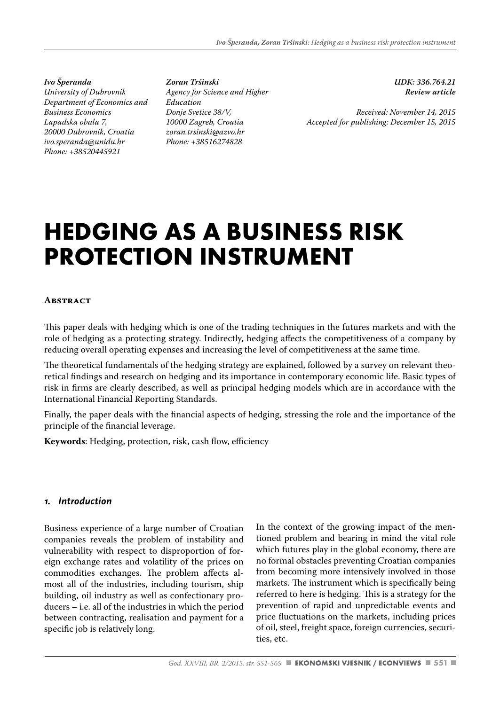*Ivo Šperanda University of Dubrovnik Department of Economics and Business Economics Lapadska obala 7, 20000 Dubrovnik, Croatia ivo.speranda@unidu.hr Phone: +38520445921*

*Zoran Tršinski Agency for Science and Higher Education Donje Svetice 38/V, 10000 Zagreb, Croatia zoran.trsinski@azvo.hr Phone: +38516274828*

*UDK: 336.764.21 Review article* 

*Received: November 14, 2015 Accepted for publishing: December 15, 2015*

# **HEDGING AS A BUSINESS RISK PROTECTION INSTRUMENT**

#### **Abstract**

This paper deals with hedging which is one of the trading techniques in the futures markets and with the role of hedging as a protecting strategy. Indirectly, hedging affects the competitiveness of a company by reducing overall operating expenses and increasing the level of competitiveness at the same time.

The theoretical fundamentals of the hedging strategy are explained, followed by a survey on relevant theoretical findings and research on hedging and its importance in contemporary economic life. Basic types of risk in firms are clearly described, as well as principal hedging models which are in accordance with the International Financial Reporting Standards.

Finally, the paper deals with the financial aspects of hedging, stressing the role and the importance of the principle of the financial leverage.

**Keywords**: Hedging, protection, risk, cash flow, efficiency

#### *1. Introduction*

Business experience of a large number of Croatian companies reveals the problem of instability and vulnerability with respect to disproportion of foreign exchange rates and volatility of the prices on commodities exchanges. The problem affects almost all of the industries, including tourism, ship building, oil industry as well as confectionary producers – i.e. all of the industries in which the period between contracting, realisation and payment for a specific job is relatively long.

In the context of the growing impact of the mentioned problem and bearing in mind the vital role which futures play in the global economy, there are no formal obstacles preventing Croatian companies from becoming more intensively involved in those markets. The instrument which is specifically being referred to here is hedging. This is a strategy for the prevention of rapid and unpredictable events and price fluctuations on the markets, including prices of oil, steel, freight space, foreign currencies, securities, etc.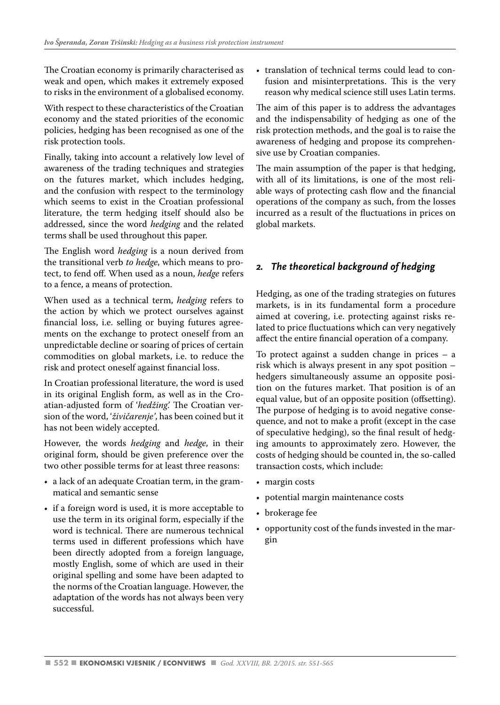The Croatian economy is primarily characterised as weak and open, which makes it extremely exposed to risks in the environment of a globalised economy.

With respect to these characteristics of the Croatian economy and the stated priorities of the economic policies, hedging has been recognised as one of the risk protection tools.

Finally, taking into account a relatively low level of awareness of the trading techniques and strategies on the futures market, which includes hedging, and the confusion with respect to the terminology which seems to exist in the Croatian professional literature, the term hedging itself should also be addressed, since the word *hedging* and the related terms shall be used throughout this paper.

The English word *hedging* is a noun derived from the transitional verb *to hedge*, which means to protect, to fend off. When used as a noun, *hedge* refers to a fence, a means of protection.

When used as a technical term, *hedging* refers to the action by which we protect ourselves against financial loss, i.e. selling or buying futures agreements on the exchange to protect oneself from an unpredictable decline or soaring of prices of certain commodities on global markets, i.e. to reduce the risk and protect oneself against financial loss.

In Croatian professional literature, the word is used in its original English form, as well as in the Croatian-adjusted form of '*hedžing'.* The Croatian version of the word, '*živičarenje'*, has been coined but it has not been widely accepted.

However, the words *hedging* and *hedge*, in their original form, should be given preference over the two other possible terms for at least three reasons:

- a lack of an adequate Croatian term, in the grammatical and semantic sense
- if a foreign word is used, it is more acceptable to use the term in its original form, especially if the word is technical. There are numerous technical terms used in different professions which have been directly adopted from a foreign language, mostly English, some of which are used in their original spelling and some have been adapted to the norms of the Croatian language. However, the adaptation of the words has not always been very successful.

• translation of technical terms could lead to confusion and misinterpretations. This is the very reason why medical science still uses Latin terms.

The aim of this paper is to address the advantages and the indispensability of hedging as one of the risk protection methods, and the goal is to raise the awareness of hedging and propose its comprehensive use by Croatian companies.

The main assumption of the paper is that hedging, with all of its limitations, is one of the most reliable ways of protecting cash flow and the financial operations of the company as such, from the losses incurred as a result of the fluctuations in prices on global markets.

# *2. The theoretical background of hedging*

Hedging, as one of the trading strategies on futures markets, is in its fundamental form a procedure aimed at covering, i.e. protecting against risks related to price fluctuations which can very negatively affect the entire financial operation of a company.

To protect against a sudden change in prices – a risk which is always present in any spot position – hedgers simultaneously assume an opposite position on the futures market. That position is of an equal value, but of an opposite position (offsetting). The purpose of hedging is to avoid negative consequence, and not to make a profit (except in the case of speculative hedging), so the final result of hedging amounts to approximately zero. However, the costs of hedging should be counted in, the so-called transaction costs, which include:

- margin costs
- potential margin maintenance costs
- brokerage fee
- opportunity cost of the funds invested in the margin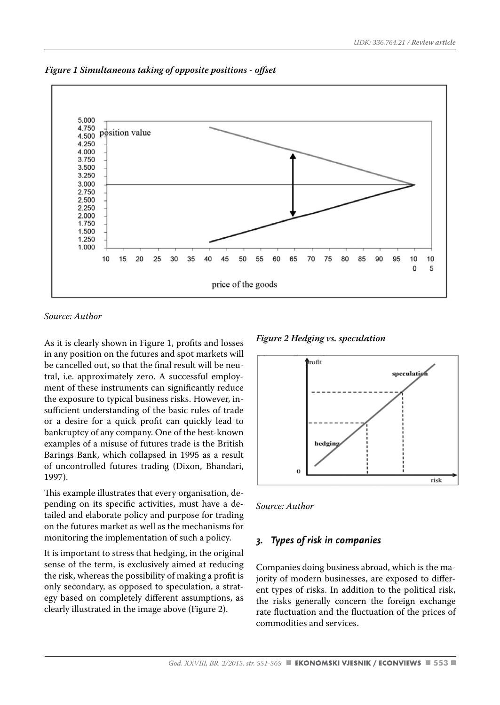

*Figure 1 Simultaneous taking of opposite positions - offset*

*Source: Author*

As it is clearly shown in Figure 1, profits and losses in any position on the futures and spot markets will be cancelled out, so that the final result will be neutral, i.e. approximately zero. A successful employment of these instruments can significantly reduce the exposure to typical business risks. However, insufficient understanding of the basic rules of trade or a desire for a quick profit can quickly lead to bankruptcy of any company. One of the best-known examples of a misuse of futures trade is the British Barings Bank, which collapsed in 1995 as a result of uncontrolled futures trading (Dixon, Bhandari, 1997).

This example illustrates that every organisation, depending on its specific activities, must have a detailed and elaborate policy and purpose for trading on the futures market as well as the mechanisms for monitoring the implementation of such a policy.

It is important to stress that hedging, in the original sense of the term, is exclusively aimed at reducing the risk, whereas the possibility of making a profit is only secondary, as opposed to speculation, a strategy based on completely different assumptions, as clearly illustrated in the image above (Figure 2).

*Figure 2 Hedging vs. speculation*



*Source: Author*

#### *3. Types of risk in companies*

Companies doing business abroad, which is the majority of modern businesses, are exposed to different types of risks. In addition to the political risk, the risks generally concern the foreign exchange rate fluctuation and the fluctuation of the prices of commodities and services.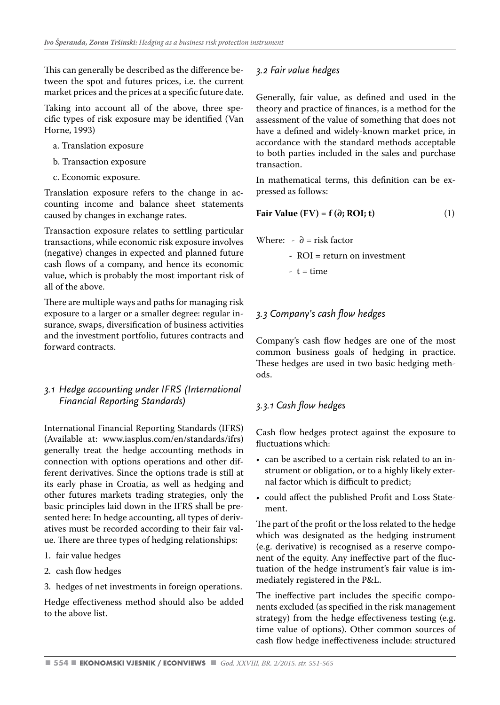This can generally be described as the difference between the spot and futures prices, i.e. the current market prices and the prices at a specific future date.

Taking into account all of the above, three specific types of risk exposure may be identified (Van Horne, 1993)

- a. Translation exposure
- b. Transaction exposure
- c. Economic exposure.

Translation exposure refers to the change in accounting income and balance sheet statements caused by changes in exchange rates.

Transaction exposure relates to settling particular transactions, while economic risk exposure involves (negative) changes in expected and planned future cash flows of a company, and hence its economic value, which is probably the most important risk of all of the above.

There are multiple ways and paths for managing risk exposure to a larger or a smaller degree: regular insurance, swaps, diversification of business activities and the investment portfolio, futures contracts and forward contracts.

#### *3.1 Hedge accounting under IFRS (International Financial Reporting Standards)*

International Financial Reporting Standards (IFRS) (Available at: www.iasplus.com/en/standards/ifrs) generally treat the hedge accounting methods in connection with options operations and other different derivatives. Since the options trade is still at its early phase in Croatia, as well as hedging and other futures markets trading strategies, only the basic principles laid down in the IFRS shall be presented here: In hedge accounting, all types of derivatives must be recorded according to their fair value. There are three types of hedging relationships:

- 1. fair value hedges
- 2. cash flow hedges
- 3. hedges of net investments in foreign operations.

Hedge effectiveness method should also be added to the above list.

### *3.2 Fair value hedges*

Generally, fair value, as defined and used in the theory and practice of finances, is a method for the assessment of the value of something that does not have a defined and widely-known market price, in accordance with the standard methods acceptable to both parties included in the sales and purchase transaction.

In mathematical terms, this definition can be expressed as follows:

$$
Fair Value (FV) = f(\partial; ROI; t)
$$
 (1)

Where:  $\theta =$  risk factor

- ROI = return on investment

 $-t = time$ 

## *3.3 Company's cash flow hedges*

Company's cash flow hedges are one of the most common business goals of hedging in practice. These hedges are used in two basic hedging methods.

# *3.3.1 Cash flow hedges*

Cash flow hedges protect against the exposure to fluctuations which:

- can be ascribed to a certain risk related to an instrument or obligation, or to a highly likely external factor which is difficult to predict;
- could affect the published Profit and Loss Statement.

The part of the profit or the loss related to the hedge which was designated as the hedging instrument (e.g. derivative) is recognised as a reserve component of the equity. Any ineffective part of the fluctuation of the hedge instrument's fair value is immediately registered in the P&L.

The ineffective part includes the specific components excluded (as specified in the risk management strategy) from the hedge effectiveness testing (e.g. time value of options). Other common sources of cash flow hedge ineffectiveness include: structured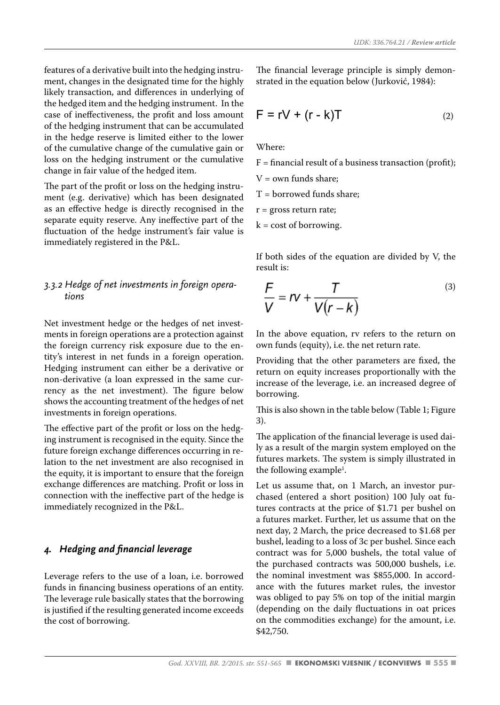features of a derivative built into the hedging instrument, changes in the designated time for the highly likely transaction, and differences in underlying of the hedged item and the hedging instrument. In the case of ineffectiveness, the profit and loss amount of the hedging instrument that can be accumulated in the hedge reserve is limited either to the lower of the cumulative change of the cumulative gain or loss on the hedging instrument or the cumulative change in fair value of the hedged item.

The part of the profit or loss on the hedging instrument (e.g. derivative) which has been designated as an effective hedge is directly recognised in the separate equity reserve. Any ineffective part of the fluctuation of the hedge instrument's fair value is immediately registered in the P&L.

#### *3.3.2 Hedge of net investments in foreign operations*

Net investment hedge or the hedges of net investments in foreign operations are a protection against the foreign currency risk exposure due to the entity's interest in net funds in a foreign operation. Hedging instrument can either be a derivative or non-derivative (a loan expressed in the same currency as the net investment). The figure below shows the accounting treatment of the hedges of net investments in foreign operations.

The effective part of the profit or loss on the hedging instrument is recognised in the equity. Since the future foreign exchange differences occurring in relation to the net investment are also recognised in the equity, it is important to ensure that the foreign exchange differences are matching. Profit or loss in connection with the ineffective part of the hedge is immediately recognized in the P&L.

#### *4. Hedging and financial leverage*

Leverage refers to the use of a loan, i.e. borrowed funds in financing business operations of an entity. The leverage rule basically states that the borrowing is justified if the resulting generated income exceeds the cost of borrowing.

The financial leverage principle is simply demonstrated in the equation below (Jurković, 1984):

$$
F = rV + (r - k)T
$$
 (2)

Where:

 $F =$  financial result of a business transaction (profit);

 $V =$  own funds share:

T = borrowed funds share;

r = gross return rate;

 $k = \text{cost of borrowing}.$ 

If both sides of the equation are divided by V, the result is:

$$
\frac{F}{V} = IV + \frac{T}{V(r-k)}
$$
\n(3)

In the above equation, rv refers to the return on own funds (equity), i.e. the net return rate.

Providing that the other parameters are fixed, the return on equity increases proportionally with the increase of the leverage, i.e. an increased degree of borrowing.

This is also shown in the table below (Table 1; Figure 3).

The application of the financial leverage is used daily as a result of the margin system employed on the futures markets. The system is simply illustrated in the following example<sup>1</sup>.

Let us assume that, on 1 March, an investor purchased (entered a short position) 100 July oat futures contracts at the price of \$1.71 per bushel on a futures market. Further, let us assume that on the next day, 2 March, the price decreased to \$1.68 per bushel, leading to a loss of 3c per bushel. Since each contract was for 5,000 bushels, the total value of the purchased contracts was 500,000 bushels, i.e. the nominal investment was \$855,000. In accordance with the futures market rules, the investor was obliged to pay 5% on top of the initial margin (depending on the daily fluctuations in oat prices on the commodities exchange) for the amount, i.e. \$42,750.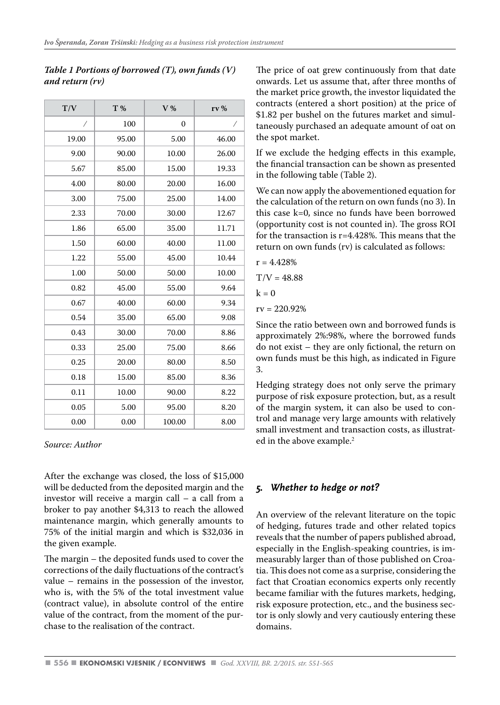| T/V   | T %   | V%       | rv%   |
|-------|-------|----------|-------|
| Ϊ     | 100   | $\theta$ | Ϊ     |
| 19.00 | 95.00 | 5.00     | 46.00 |
| 9.00  | 90.00 | 10.00    | 26.00 |
| 5.67  | 85.00 | 15.00    | 19.33 |
| 4.00  | 80.00 | 20.00    | 16.00 |
| 3.00  | 75.00 | 25.00    | 14.00 |
| 2.33  | 70.00 | 30.00    | 12.67 |
| 1.86  | 65.00 | 35.00    | 11.71 |
| 1.50  | 60.00 | 40.00    | 11.00 |
| 1.22  | 55.00 | 45.00    | 10.44 |
| 1.00  | 50.00 | 50.00    | 10.00 |
| 0.82  | 45.00 | 55.00    | 9.64  |
| 0.67  | 40.00 | 60.00    | 9.34  |
| 0.54  | 35.00 | 65.00    | 9.08  |
| 0.43  | 30.00 | 70.00    | 8.86  |
| 0.33  | 25.00 | 75.00    | 8.66  |
| 0.25  | 20.00 | 80.00    | 8.50  |
| 0.18  | 15.00 | 85.00    | 8.36  |
| 0.11  | 10.00 | 90.00    | 8.22  |
| 0.05  | 5.00  | 95.00    | 8.20  |
| 0.00  | 0.00  | 100.00   | 8.00  |

## *Table 1 Portions of borrowed (T), own funds (V) and return (rv)*

#### *Source: Author*

After the exchange was closed, the loss of \$15,000 will be deducted from the deposited margin and the investor will receive a margin call – a call from a broker to pay another \$4,313 to reach the allowed maintenance margin, which generally amounts to 75% of the initial margin and which is \$32,036 in the given example.

The margin – the deposited funds used to cover the corrections of the daily fluctuations of the contract's value – remains in the possession of the investor, who is, with the 5% of the total investment value (contract value), in absolute control of the entire value of the contract, from the moment of the purchase to the realisation of the contract.

The price of oat grew continuously from that date onwards. Let us assume that, after three months of the market price growth, the investor liquidated the contracts (entered a short position) at the price of \$1.82 per bushel on the futures market and simultaneously purchased an adequate amount of oat on the spot market.

If we exclude the hedging effects in this example, the financial transaction can be shown as presented in the following table (Table 2).

We can now apply the abovementioned equation for the calculation of the return on own funds (no 3). In this case k=0, since no funds have been borrowed (opportunity cost is not counted in). The gross ROI for the transaction is r=4.428%. This means that the return on own funds (rv) is calculated as follows:

$$
r=4.428\%
$$

 $T/V = 48.88$ 

$$
\mathbf{k}=\mathbf{0}
$$

 $rv = 220.92%$ 

Since the ratio between own and borrowed funds is approximately 2%:98%, where the borrowed funds do not exist – they are only fictional, the return on own funds must be this high, as indicated in Figure 3.

Hedging strategy does not only serve the primary purpose of risk exposure protection, but, as a result of the margin system, it can also be used to control and manage very large amounts with relatively small investment and transaction costs, as illustrated in the above example.<sup>2</sup>

# *5. Whether to hedge or not?*

An overview of the relevant literature on the topic of hedging, futures trade and other related topics reveals that the number of papers published abroad, especially in the English-speaking countries, is immeasurably larger than of those published on Croatia. This does not come as a surprise, considering the fact that Croatian economics experts only recently became familiar with the futures markets, hedging, risk exposure protection, etc., and the business sector is only slowly and very cautiously entering these domains.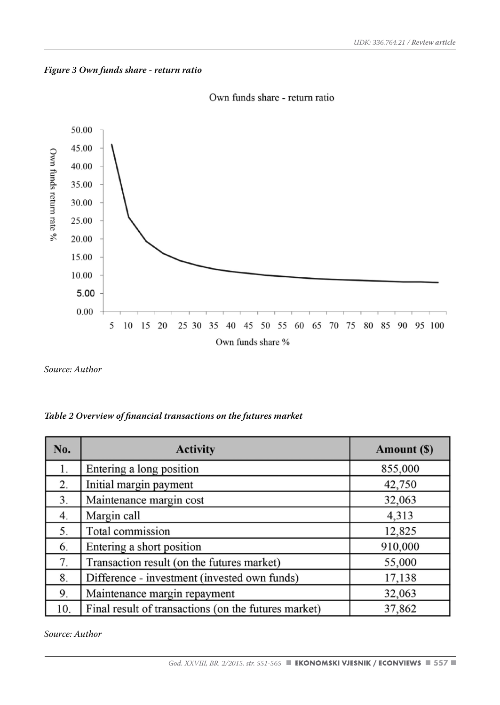



Own funds share - return ratio

*Source: Author*

| Table 2 Overview of financial transactions on the futures market |  |  |  |  |
|------------------------------------------------------------------|--|--|--|--|
|------------------------------------------------------------------|--|--|--|--|

| No. | <b>Activity</b>                                      | Amount (\$) |
|-----|------------------------------------------------------|-------------|
| 1.  | Entering a long position                             | 855,000     |
| 2.  | Initial margin payment                               | 42,750      |
| 3.  | Maintenance margin cost                              | 32,063      |
| 4.  | Margin call                                          | 4,313       |
| 5.  | Total commission                                     | 12,825      |
| 6.  | Entering a short position                            | 910,000     |
| 7.  | Transaction result (on the futures market)           | 55,000      |
| 8.  | Difference - investment (invested own funds)         | 17,138      |
| 9.  | Maintenance margin repayment                         | 32,063      |
| 10. | Final result of transactions (on the futures market) | 37,862      |

*Source: Author*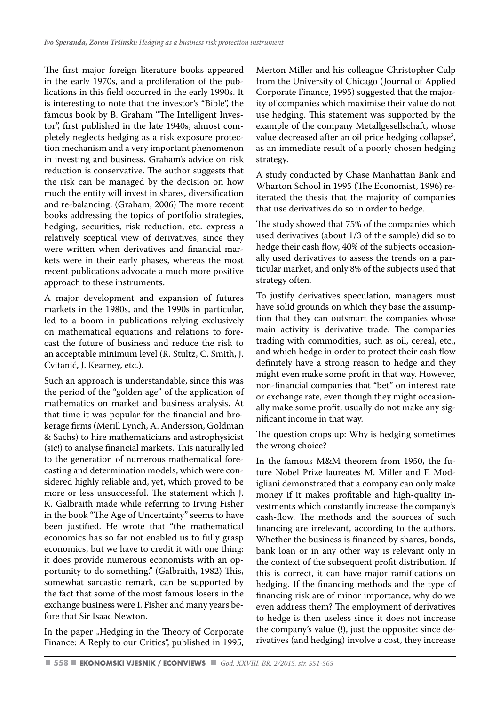The first major foreign literature books appeared in the early 1970s, and a proliferation of the publications in this field occurred in the early 1990s. It is interesting to note that the investor's "Bible", the famous book by B. Graham "The Intelligent Investor", first published in the late 1940s, almost completely neglects hedging as a risk exposure protection mechanism and a very important phenomenon in investing and business. Graham's advice on risk reduction is conservative. The author suggests that the risk can be managed by the decision on how much the entity will invest in shares, diversification and re-balancing. (Graham, 2006) The more recent books addressing the topics of portfolio strategies, hedging, securities, risk reduction, etc. express a relatively sceptical view of derivatives, since they were written when derivatives and financial markets were in their early phases, whereas the most recent publications advocate a much more positive approach to these instruments.

A major development and expansion of futures markets in the 1980s, and the 1990s in particular, led to a boom in publications relying exclusively on mathematical equations and relations to forecast the future of business and reduce the risk to an acceptable minimum level (R. Stultz, C. Smith, J. Cvitanić, J. Kearney, etc.).

Such an approach is understandable, since this was the period of the "golden age" of the application of mathematics on market and business analysis. At that time it was popular for the financial and brokerage firms (Merill Lynch, A. Andersson, Goldman & Sachs) to hire mathematicians and astrophysicist (sic!) to analyse financial markets. This naturally led to the generation of numerous mathematical forecasting and determination models, which were considered highly reliable and, yet, which proved to be more or less unsuccessful. The statement which J. K. Galbraith made while referring to Irving Fisher in the book "The Age of Uncertainty" seems to have been justified. He wrote that "the mathematical economics has so far not enabled us to fully grasp economics, but we have to credit it with one thing: it does provide numerous economists with an opportunity to do something." (Galbraith, 1982) This, somewhat sarcastic remark, can be supported by the fact that some of the most famous losers in the exchange business were I. Fisher and many years before that Sir Isaac Newton.

In the paper "Hedging in the Theory of Corporate Finance: A Reply to our Critics", published in 1995, Merton Miller and his colleague Christopher Culp from the University of Chicago (Journal of Applied Corporate Finance, 1995) suggested that the majority of companies which maximise their value do not use hedging. This statement was supported by the example of the company Metallgesellschaft, whose value decreased after an oil price hedging collapse<sup>3</sup>, as an immediate result of a poorly chosen hedging strategy.

A study conducted by Chase Manhattan Bank and Wharton School in 1995 (The Economist, 1996) reiterated the thesis that the majority of companies that use derivatives do so in order to hedge.

The study showed that 75% of the companies which used derivatives (about 1/3 of the sample) did so to hedge their cash flow, 40% of the subjects occasionally used derivatives to assess the trends on a particular market, and only 8% of the subjects used that strategy often.

To justify derivatives speculation, managers must have solid grounds on which they base the assumption that they can outsmart the companies whose main activity is derivative trade. The companies trading with commodities, such as oil, cereal, etc., and which hedge in order to protect their cash flow definitely have a strong reason to hedge and they might even make some profit in that way. However, non-financial companies that "bet" on interest rate or exchange rate, even though they might occasionally make some profit, usually do not make any significant income in that way.

The question crops up: Why is hedging sometimes the wrong choice?

In the famous M&M theorem from 1950, the future Nobel Prize laureates M. Miller and F. Modigliani demonstrated that a company can only make money if it makes profitable and high-quality investments which constantly increase the company's cash-flow. The methods and the sources of such financing are irrelevant, according to the authors. Whether the business is financed by shares, bonds, bank loan or in any other way is relevant only in the context of the subsequent profit distribution. If this is correct, it can have major ramifications on hedging. If the financing methods and the type of financing risk are of minor importance, why do we even address them? The employment of derivatives to hedge is then useless since it does not increase the company's value (!), just the opposite: since derivatives (and hedging) involve a cost, they increase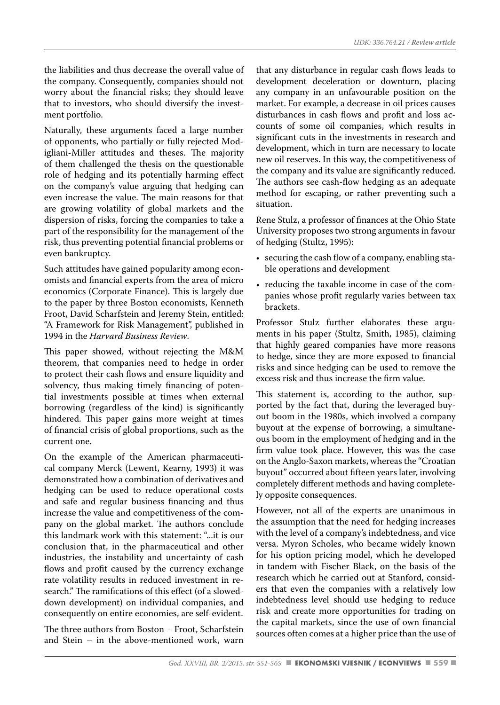the liabilities and thus decrease the overall value of the company. Consequently, companies should not worry about the financial risks; they should leave that to investors, who should diversify the investment portfolio.

Naturally, these arguments faced a large number of opponents, who partially or fully rejected Modigliani-Miller attitudes and theses. The majority of them challenged the thesis on the questionable role of hedging and its potentially harming effect on the company's value arguing that hedging can even increase the value. The main reasons for that are growing volatility of global markets and the dispersion of risks, forcing the companies to take a part of the responsibility for the management of the risk, thus preventing potential financial problems or even bankruptcy.

Such attitudes have gained popularity among economists and financial experts from the area of micro economics (Corporate Finance). This is largely due to the paper by three Boston economists, Kenneth Froot, David Scharfstein and Jeremy Stein, entitled: "A Framework for Risk Management", published in 1994 in the *Harvard Business Review*.

This paper showed, without rejecting the M&M theorem, that companies need to hedge in order to protect their cash flows and ensure liquidity and solvency, thus making timely financing of potential investments possible at times when external borrowing (regardless of the kind) is significantly hindered. This paper gains more weight at times of financial crisis of global proportions, such as the current one.

On the example of the American pharmaceutical company Merck (Lewent, Kearny, 1993) it was demonstrated how a combination of derivatives and hedging can be used to reduce operational costs and safe and regular business financing and thus increase the value and competitiveness of the company on the global market. The authors conclude this landmark work with this statement: "...it is our conclusion that, in the pharmaceutical and other industries, the instability and uncertainty of cash flows and profit caused by the currency exchange rate volatility results in reduced investment in research." The ramifications of this effect (of a sloweddown development) on individual companies, and consequently on entire economies, are self-evident.

The three authors from Boston – Froot, Scharfstein and Stein – in the above-mentioned work, warn that any disturbance in regular cash flows leads to development deceleration or downturn, placing any company in an unfavourable position on the market. For example, a decrease in oil prices causes disturbances in cash flows and profit and loss accounts of some oil companies, which results in significant cuts in the investments in research and development, which in turn are necessary to locate new oil reserves. In this way, the competitiveness of the company and its value are significantly reduced. The authors see cash-flow hedging as an adequate method for escaping, or rather preventing such a situation.

Rene Stulz, a professor of finances at the Ohio State University proposes two strong arguments in favour of hedging (Stultz, 1995):

- securing the cash flow of a company, enabling stable operations and development
- reducing the taxable income in case of the companies whose profit regularly varies between tax brackets.

Professor Stulz further elaborates these arguments in his paper (Stultz, Smith, 1985), claiming that highly geared companies have more reasons to hedge, since they are more exposed to financial risks and since hedging can be used to remove the excess risk and thus increase the firm value.

This statement is, according to the author, supported by the fact that, during the leveraged buyout boom in the 1980s, which involved a company buyout at the expense of borrowing, a simultaneous boom in the employment of hedging and in the firm value took place. However, this was the case on the Anglo-Saxon markets, whereas the "Croatian buyout" occurred about fifteen years later, involving completely different methods and having completely opposite consequences.

However, not all of the experts are unanimous in the assumption that the need for hedging increases with the level of a company's indebtedness, and vice versa. Myron Scholes, who became widely known for his option pricing model, which he developed in tandem with Fischer Black, on the basis of the research which he carried out at Stanford, considers that even the companies with a relatively low indebtedness level should use hedging to reduce risk and create more opportunities for trading on the capital markets, since the use of own financial sources often comes at a higher price than the use of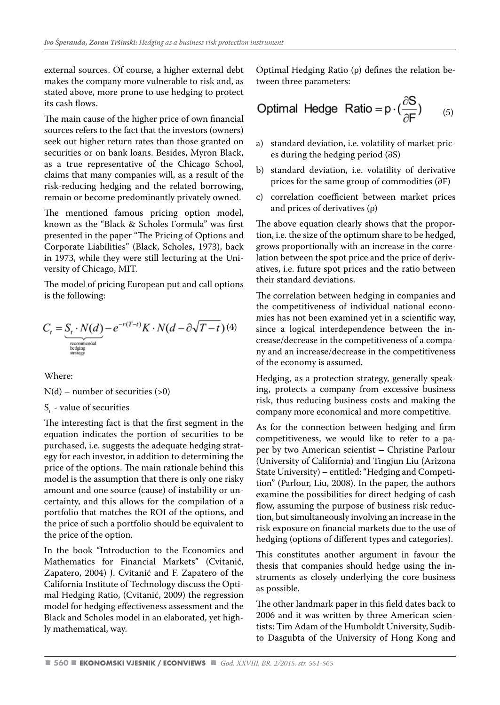external sources. Of course, a higher external debt makes the company more vulnerable to risk and, as stated above, more prone to use hedging to protect its cash flows.

The main cause of the higher price of own financial sources refers to the fact that the investors (owners) seek out higher return rates than those granted on securities or on bank loans. Besides, Myron Black, as a true representative of the Chicago School, claims that many companies will, as a result of the risk-reducing hedging and the related borrowing, remain or become predominantly privately owned.

The mentioned famous pricing option model, known as the "Black & Scholes Formula" was first presented in the paper "The Pricing of Options and Corporate Liabilities" (Black, Scholes, 1973), back in 1973, while they were still lecturing at the University of Chicago, MIT.

The model of pricing European put and call options is the following:

$$
C_t = \underbrace{S_t \cdot N(d)}_{\substack{\text{recommendat} \text{triangleright} \atop \text{staging}} - e^{-r(T-t)} K \cdot N(d - \partial \sqrt{T-t}) \tag{4}
$$

Where:

 $N(d)$  – number of securities (>0)

 $S<sub>t</sub>$  - value of securities

The interesting fact is that the first segment in the equation indicates the portion of securities to be purchased, i.e. suggests the adequate hedging strategy for each investor, in addition to determining the price of the options. The main rationale behind this model is the assumption that there is only one risky amount and one source (cause) of instability or uncertainty, and this allows for the compilation of a portfolio that matches the ROI of the options, and the price of such a portfolio should be equivalent to the price of the option.

In the book "Introduction to the Economics and Mathematics for Financial Markets" (Cvitanić, Zapatero, 2004) J. Cvitanić and F. Zapatero of the California Institute of Technology discuss the Optimal Hedging Ratio, (Cvitanić, 2009) the regression model for hedging effectiveness assessment and the Black and Scholes model in an elaborated, yet highly mathematical, way.

Optimal Hedging Ratio (ρ) defines the relation between three parameters:

Optimal Hedge Ratio = 
$$
p \cdot (\frac{\partial S}{\partial F})
$$
 (5)

- a) standard deviation, i.e. volatility of market prices during the hedging period (∂S)
- b) standard deviation, i.e. volatility of derivative prices for the same group of commodities (∂F)
- c) correlation coefficient between market prices and prices of derivatives (ρ)

The above equation clearly shows that the proportion, i.e. the size of the optimum share to be hedged, grows proportionally with an increase in the correlation between the spot price and the price of derivatives, i.e. future spot prices and the ratio between their standard deviations.

The correlation between hedging in companies and the competitiveness of individual national economies has not been examined yet in a scientific way, since a logical interdependence between the increase/decrease in the competitiveness of a company and an increase/decrease in the competitiveness of the economy is assumed.

Hedging, as a protection strategy, generally speaking, protects a company from excessive business risk, thus reducing business costs and making the company more economical and more competitive.

As for the connection between hedging and firm competitiveness, we would like to refer to a paper by two American scientist – Christine Parlour (University of California) and Tingjun Liu (Arizona State University) – entitled: "Hedging and Competition" (Parlour, Liu, 2008). In the paper, the authors examine the possibilities for direct hedging of cash flow, assuming the purpose of business risk reduction, but simultaneously involving an increase in the risk exposure on financial markets due to the use of hedging (options of different types and categories).

This constitutes another argument in favour the thesis that companies should hedge using the instruments as closely underlying the core business as possible.

The other landmark paper in this field dates back to 2006 and it was written by three American scientists: Tim Adam of the Humboldt University, Sudibto Dasgubta of the University of Hong Kong and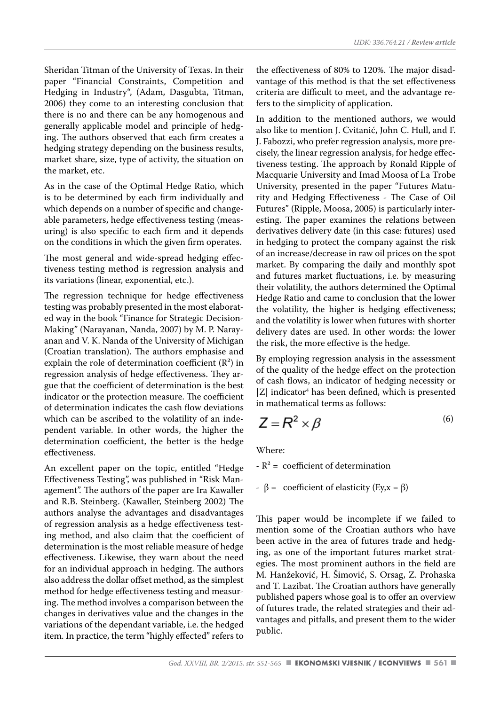Sheridan Titman of the University of Texas. In their paper "Financial Constraints, Competition and Hedging in Industry", (Adam, Dasgubta, Titman, 2006) they come to an interesting conclusion that there is no and there can be any homogenous and generally applicable model and principle of hedging. The authors observed that each firm creates a hedging strategy depending on the business results, market share, size, type of activity, the situation on the market, etc.

As in the case of the Optimal Hedge Ratio, which is to be determined by each firm individually and which depends on a number of specific and changeable parameters, hedge effectiveness testing (measuring) is also specific to each firm and it depends on the conditions in which the given firm operates.

The most general and wide-spread hedging effectiveness testing method is regression analysis and its variations (linear, exponential, etc.).

The regression technique for hedge effectiveness testing was probably presented in the most elaborated way in the book "Finance for Strategic Decision-Making" (Narayanan, Nanda, 2007) by M. P. Narayanan and V. K. Nanda of the University of Michigan (Croatian translation). The authors emphasise and explain the role of determination coefficient  $(R^2)$  in regression analysis of hedge effectiveness. They argue that the coefficient of determination is the best indicator or the protection measure. The coefficient of determination indicates the cash flow deviations which can be ascribed to the volatility of an independent variable. In other words, the higher the determination coefficient, the better is the hedge effectiveness.

An excellent paper on the topic, entitled "Hedge Effectiveness Testing", was published in "Risk Management". The authors of the paper are Ira Kawaller and R.B. Steinberg. (Kawaller, Steinberg 2002) The authors analyse the advantages and disadvantages of regression analysis as a hedge effectiveness testing method, and also claim that the coefficient of determination is the most reliable measure of hedge effectiveness. Likewise, they warn about the need for an individual approach in hedging. The authors also address the dollar offset method, as the simplest method for hedge effectiveness testing and measuring. The method involves a comparison between the changes in derivatives value and the changes in the variations of the dependant variable, i.e. the hedged item. In practice, the term "highly effected" refers to

the effectiveness of 80% to 120%. The major disadvantage of this method is that the set effectiveness criteria are difficult to meet, and the advantage refers to the simplicity of application.

In addition to the mentioned authors, we would also like to mention J. Cvitanić, John C. Hull, and F. J. Fabozzi, who prefer regression analysis, more precisely, the linear regression analysis, for hedge effectiveness testing. The approach by Ronald Ripple of Macquarie University and Imad Moosa of La Trobe University, presented in the paper "Futures Maturity and Hedging Effectiveness - The Case of Oil Futures" (Ripple, Moosa, 2005) is particularly interesting. The paper examines the relations between derivatives delivery date (in this case: futures) used in hedging to protect the company against the risk of an increase/decrease in raw oil prices on the spot market. By comparing the daily and monthly spot and futures market fluctuations, i.e. by measuring their volatility, the authors determined the Optimal Hedge Ratio and came to conclusion that the lower the volatility, the higher is hedging effectiveness; and the volatility is lower when futures with shorter delivery dates are used. In other words: the lower the risk, the more effective is the hedge.

By employing regression analysis in the assessment of the quality of the hedge effect on the protection of cash flows, an indicator of hedging necessity or  $|Z|$  indicator<sup>4</sup> has been defined, which is presented in mathematical terms as follows:

$$
Z = R^2 \times \beta \tag{6}
$$

Where:

- $-R^2 = \text{coefficient of determination}$
- $β =$  coefficient of elasticity (Ey, x = β)

This paper would be incomplete if we failed to mention some of the Croatian authors who have been active in the area of futures trade and hedging, as one of the important futures market strategies. The most prominent authors in the field are M. Hanžeković, H. Šimović, S. Orsag, Z. Prohaska and T. Lazibat. The Croatian authors have generally published papers whose goal is to offer an overview of futures trade, the related strategies and their advantages and pitfalls, and present them to the wider public.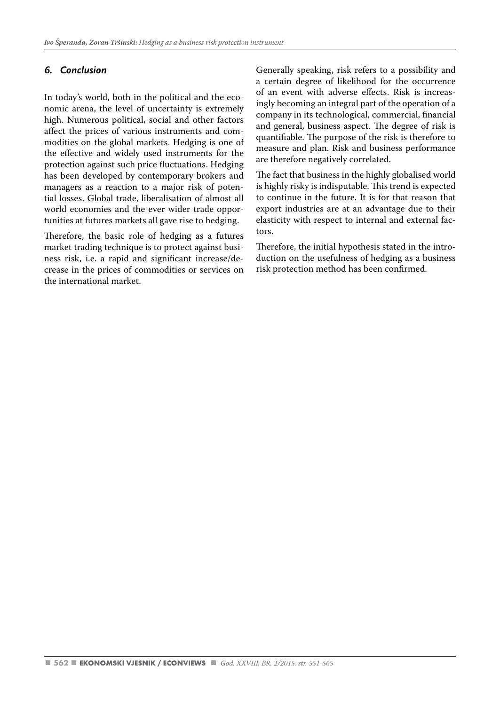#### *6. Conclusion*

In today's world, both in the political and the economic arena, the level of uncertainty is extremely high. Numerous political, social and other factors affect the prices of various instruments and commodities on the global markets. Hedging is one of the effective and widely used instruments for the protection against such price fluctuations. Hedging has been developed by contemporary brokers and managers as a reaction to a major risk of potential losses. Global trade, liberalisation of almost all world economies and the ever wider trade opportunities at futures markets all gave rise to hedging.

Therefore, the basic role of hedging as a futures market trading technique is to protect against business risk, i.e. a rapid and significant increase/decrease in the prices of commodities or services on the international market.

Generally speaking, risk refers to a possibility and a certain degree of likelihood for the occurrence of an event with adverse effects. Risk is increasingly becoming an integral part of the operation of a company in its technological, commercial, financial and general, business aspect. The degree of risk is quantifiable. The purpose of the risk is therefore to measure and plan. Risk and business performance are therefore negatively correlated.

The fact that business in the highly globalised world is highly risky is indisputable. This trend is expected to continue in the future. It is for that reason that export industries are at an advantage due to their elasticity with respect to internal and external factors.

Therefore, the initial hypothesis stated in the introduction on the usefulness of hedging as a business risk protection method has been confirmed.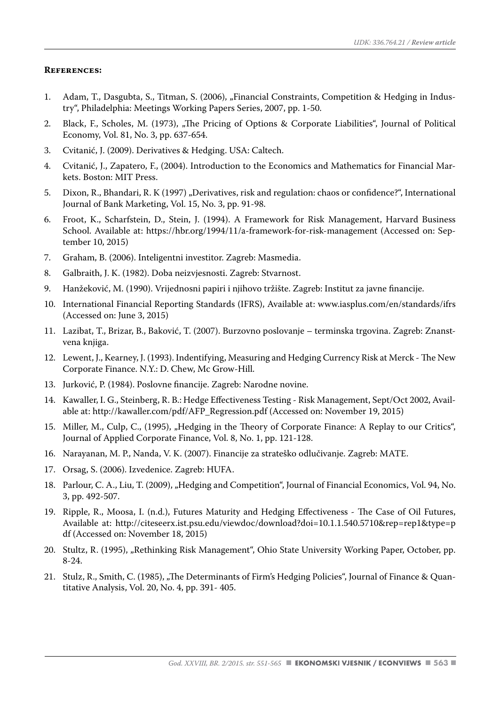#### **References:**

- 1. Adam, T., Dasgubta, S., Titman, S. (2006), "Financial Constraints, Competition & Hedging in Industry", Philadelphia: Meetings Working Papers Series, 2007, pp. 1-50.
- 2. Black, F., Scholes, M. (1973), "The Pricing of Options & Corporate Liabilities", Journal of Political Economy, Vol. 81, No. 3, pp. 637-654.
- 3. Cvitanić, J. (2009). Derivatives & Hedging. USA: Caltech.
- 4. Cvitanić, J., Zapatero, F., (2004). Introduction to the Economics and Mathematics for Financial Markets. Boston: MIT Press.
- 5. Dixon, R., Bhandari, R. K (1997) "Derivatives, risk and regulation: chaos or confidence?", International Journal of Bank Marketing, Vol. 15, No. 3, pp. 91-98.
- 6. Froot, K., Scharfstein, D., Stein, J. (1994). A Framework for Risk Management, Harvard Business School. Available at: https://hbr.org/1994/11/a-framework-for-risk-management (Accessed on: September 10, 2015)
- 7. Graham, B. (2006). Inteligentni investitor. Zagreb: Masmedia.
- 8. Galbraith, J. K. (1982). Doba neizvjesnosti. Zagreb: Stvarnost.
- 9. Hanžeković, M. (1990). Vrijednosni papiri i njihovo tržište. Zagreb: Institut za javne financije.
- 10. International Financial Reporting Standards (IFRS), Available at: www.iasplus.com/en/standards/ifrs (Accessed on: June 3, 2015)
- 11. Lazibat, T., Brizar, B., Baković, T. (2007). Burzovno poslovanje terminska trgovina. Zagreb: Znanstvena knjiga.
- 12. Lewent, J., Kearney, J. (1993). Indentifying, Measuring and Hedging Currency Risk at Merck The New Corporate Finance. N.Y.: D. Chew, Mc Grow-Hill.
- 13. Jurković, P. (1984). Poslovne financije. Zagreb: Narodne novine.
- 14. Kawaller, I. G., Steinberg, R. B.: Hedge Effectiveness Testing Risk Management, Sept/Oct 2002, Available at: http://kawaller.com/pdf/AFP\_Regression.pdf (Accessed on: November 19, 2015)
- 15. Miller, M., Culp, C., (1995), "Hedging in the Theory of Corporate Finance: A Replay to our Critics", Journal of Applied Corporate Finance, Vol. 8, No. 1, pp. 121-128.
- 16. Narayanan, M. P., Nanda, V. K. (2007). Financije za strateško odlučivanje. Zagreb: MATE.
- 17. Orsag, S. (2006). Izvedenice. Zagreb: HUFA.
- 18. Parlour, C. A., Liu, T. (2009), "Hedging and Competition", Journal of Financial Economics, Vol. 94, No. 3, pp. 492-507.
- 19. Ripple, R., Moosa, I. (n.d.), Futures Maturity and Hedging Effectiveness The Case of Oil Futures, Available at: http://citeseerx.ist.psu.edu/viewdoc/download?doi=10.1.1.540.5710&rep=rep1&type=p df (Accessed on: November 18, 2015)
- 20. Stultz, R. (1995), "Rethinking Risk Management", Ohio State University Working Paper, October, pp. 8-24.
- 21. Stulz, R., Smith, C. (1985), "The Determinants of Firm's Hedging Policies", Journal of Finance & Quantitative Analysis, Vol. 20, No. 4, pp. 391- 405.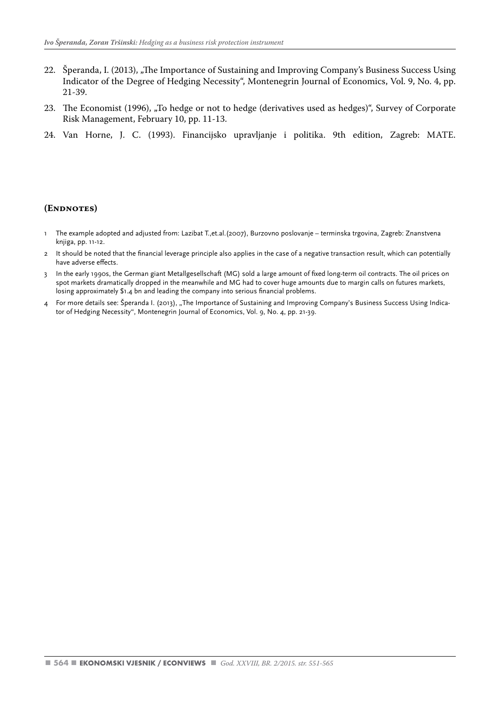- 22. Šperanda, I. (2013), "The Importance of Sustaining and Improving Company's Business Success Using Indicator of the Degree of Hedging Necessity", Montenegrin Journal of Economics, Vol. 9, No. 4, pp. 21-39.
- 23. The Economist (1996), "To hedge or not to hedge (derivatives used as hedges)", Survey of Corporate Risk Management, February 10, pp. 11-13.
- 24. Van Horne, J. C. (1993). Financijsko upravljanje i politika. 9th edition, Zagreb: MATE.

#### **(Endnotes)**

- 1 The example adopted and adjusted from: Lazibat T.,et.al.(2007), Burzovno poslovanje terminska trgovina, Zagreb: Znanstvena knjiga, pp. 11-12.
- 2 It should be noted that the financial leverage principle also applies in the case of a negative transaction result, which can potentially have adverse effects.
- 3 In the early 1990s, the German giant Metallgesellschaft (MG) sold a large amount of fixed long-term oil contracts. The oil prices on spot markets dramatically dropped in the meanwhile and MG had to cover huge amounts due to margin calls on futures markets, losing approximately \$1.4 bn and leading the company into serious financial problems.
- 4 For more details see: Šperanda I. (2013), "The Importance of Sustaining and Improving Company's Business Success Using Indicator of Hedging Necessity", Montenegrin Journal of Economics, Vol. 9, No. 4, pp. 21-39.